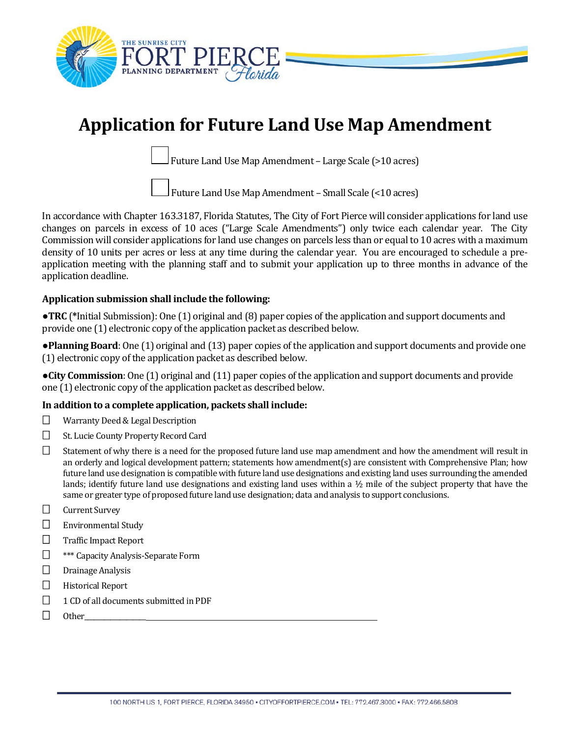

# **Application for Future Land Use Map Amendment**

Future Land Use Map Amendment – Large Scale (>10 acres)

Future Land Use Map Amendment – Small Scale (<10 acres)

In accordance with Chapter 163.3187, Florida Statutes, The City of Fort Pierce will consider applications for land use changes on parcels in excess of 10 aces ("Large Scale Amendments") only twice each calendar year. The City Commission will consider applications for land use changes on parcels less than or equal to 10 acres with a maximum density of 10 units per acres or less at any time during the calendar year. You are encouraged to schedule a preapplication meeting with the planning staff and to submit your application up to three months in advance of the application deadline.

### **Application submission shall include the following:**

●**TRC** (**\***Initial Submission): One (1) original and (8) paper copies of the application and support documents and provide one (1) electronic copy of the application packet as described below.

●**Planning Board**: One (1) original and (13) paper copies of the application and support documents and provide one (1) electronic copy of the application packet as described below.

●**City Commission**: One (1) original and (11) paper copies of the application and support documents and provide one (1) electronic copy of the application packet as described below.

#### **In addition to a complete application, packets shall include:**

- □ Warranty Deed & Legal Description
- □ St. Lucie County Property Record Card
- $\square$  Statement of why there is a need for the proposed future land use map amendment and how the amendment will result in an orderly and logical development pattern; statements how amendment(s) are consistent with Comprehensive Plan; how future land use designation is compatible with future land use designations and existing land uses surrounding the amended lands; identify future land use designations and existing land uses within a  $\frac{1}{2}$  mile of the subject property that have the same or greater type of proposed future land use designation; data and analysis to support conclusions.
- $\Box$  Current Survey
- Environmental Study
- □ Traffic Impact Report
- □ **\*\*\*** Capacity Analysis-Separate Form
- $\Box$  Drainage Analysis
- $\Box$  Historical Report
- □ 1 CD of all documents submitted in PDF
- $\Box$  Other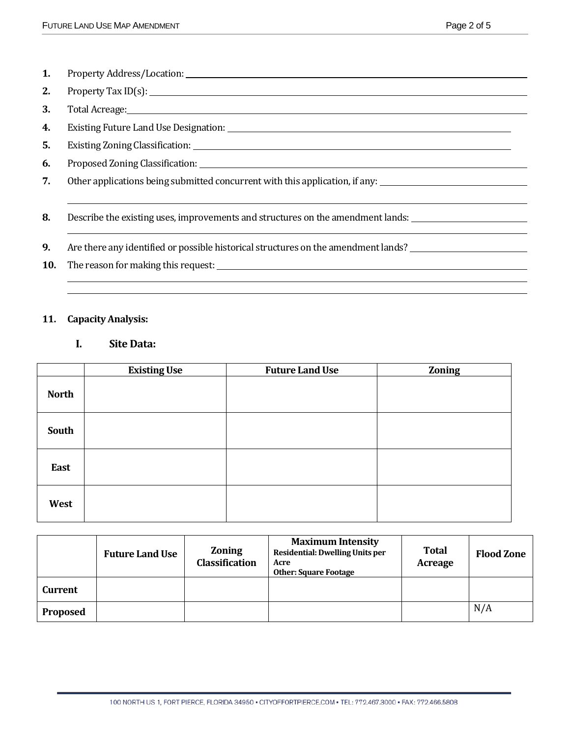<u> 1990 - Johann Barbara, martin a</u>

- **1.** Property Address/Location:
- **2.** Property Tax ID(s):
- **3.** Total Acreage:
- **4.** Existing Future Land Use Designation:
- **5.** Existing Zoning Classification:
- **6.** Proposed Zoning Classification:
- **7.** Other applications being submitted concurrent with this application, if any:

**8.** Describe the existing uses, improvements and structures on the amendment lands:

- **9.** Are there any identified or possible historical structures on the amendment lands?
- **10.** The reason for making this request:

#### **11. Capacity Analysis:**

# **I. Site Data:**

|              | <b>Existing Use</b> | <b>Future Land Use</b> | <b>Zoning</b> |
|--------------|---------------------|------------------------|---------------|
| <b>North</b> |                     |                        |               |
| South        |                     |                        |               |
| East         |                     |                        |               |
| West         |                     |                        |               |

|                 | <b>Future Land Use</b> | <b>Zoning</b><br>Classification | <b>Maximum Intensity</b><br>Residential: Dwelling Units per<br>Acre<br><b>Other: Square Footage</b> | <b>Total</b><br>Acreage | <b>Flood Zone</b> |
|-----------------|------------------------|---------------------------------|-----------------------------------------------------------------------------------------------------|-------------------------|-------------------|
| <b>Current</b>  |                        |                                 |                                                                                                     |                         |                   |
| <b>Proposed</b> |                        |                                 |                                                                                                     |                         | N/A               |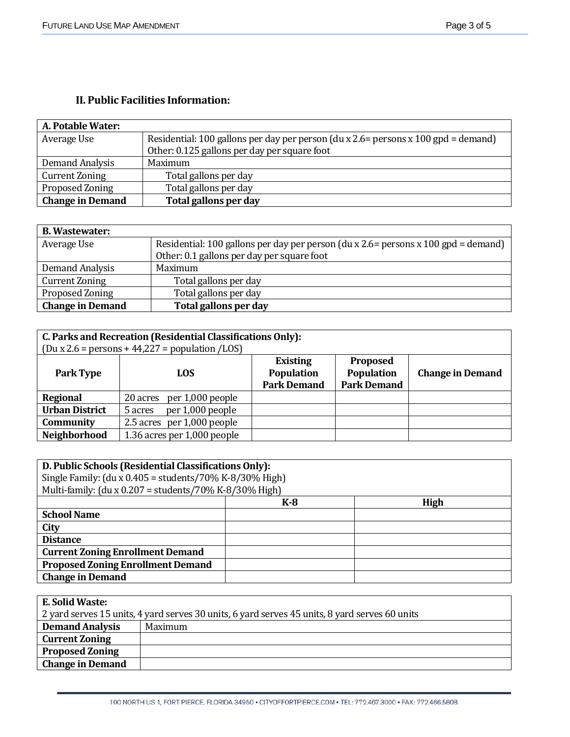# **II. Public Facilities Information:**

| <b>A. Potable Water:</b> |                                                                                    |
|--------------------------|------------------------------------------------------------------------------------|
| Average Use              | Residential: 100 gallons per day per person (du x 2.6= persons x 100 gpd = demand) |
|                          | Other: 0.125 gallons per day per square foot                                       |
| Demand Analysis          | Maximum                                                                            |
| Current Zoning           | Total gallons per day                                                              |
| <b>Proposed Zoning</b>   | Total gallons per day                                                              |
| <b>Change in Demand</b>  | Total gallons per day                                                              |

| <b>B.</b> Wastewater:   |                                                                                    |
|-------------------------|------------------------------------------------------------------------------------|
| Average Use             | Residential: 100 gallons per day per person (du x 2.6= persons x 100 gpd = demand) |
|                         | Other: 0.1 gallons per day per square foot                                         |
| Demand Analysis         | Maximum                                                                            |
| <b>Current Zoning</b>   | Total gallons per day                                                              |
| Proposed Zoning         | Total gallons per day                                                              |
| <b>Change in Demand</b> | Total gallons per day                                                              |

| C. Parks and Recreation (Residential Classifications Only): |                                                                      |                    |                    |                         |  |  |
|-------------------------------------------------------------|----------------------------------------------------------------------|--------------------|--------------------|-------------------------|--|--|
|                                                             | $(Du \times 2.6 = \text{persons} + 44,227 = \text{population /LOS})$ |                    |                    |                         |  |  |
|                                                             |                                                                      | <b>Existing</b>    | <b>Proposed</b>    |                         |  |  |
| Park Type                                                   | LOS.                                                                 | Population         | Population         | <b>Change in Demand</b> |  |  |
|                                                             |                                                                      | <b>Park Demand</b> | <b>Park Demand</b> |                         |  |  |
| <b>Regional</b>                                             | 20 acres per 1,000 people                                            |                    |                    |                         |  |  |
| <b>Urban District</b>                                       | per 1,000 people<br>5 acres                                          |                    |                    |                         |  |  |
| Community                                                   | 2.5 acres per 1,000 people                                           |                    |                    |                         |  |  |
| Neighborhood                                                | 1.36 acres per 1,000 people                                          |                    |                    |                         |  |  |

| D. Public Schools (Residential Classifications Only):         |       |             |  |  |  |
|---------------------------------------------------------------|-------|-------------|--|--|--|
| Single Family: $(du x 0.405 = students / 70\% K-8/30\% High)$ |       |             |  |  |  |
| Multi-family: (du x $0.207$ = students/70% K-8/30% High)      |       |             |  |  |  |
|                                                               | $K-8$ | <b>High</b> |  |  |  |
| <b>School Name</b>                                            |       |             |  |  |  |
| City                                                          |       |             |  |  |  |
| <b>Distance</b>                                               |       |             |  |  |  |
| <b>Current Zoning Enrollment Demand</b>                       |       |             |  |  |  |
| <b>Proposed Zoning Enrollment Demand</b>                      |       |             |  |  |  |
| <b>Change in Demand</b>                                       |       |             |  |  |  |
|                                                               |       |             |  |  |  |

| E. Solid Waste:                                                                                |         |  |  |  |
|------------------------------------------------------------------------------------------------|---------|--|--|--|
| 2 yard serves 15 units, 4 yard serves 30 units, 6 yard serves 45 units, 8 yard serves 60 units |         |  |  |  |
| <b>Demand Analysis</b>                                                                         | Maximum |  |  |  |
| <b>Current Zoning</b>                                                                          |         |  |  |  |
| <b>Proposed Zoning</b>                                                                         |         |  |  |  |
| <b>Change in Demand</b>                                                                        |         |  |  |  |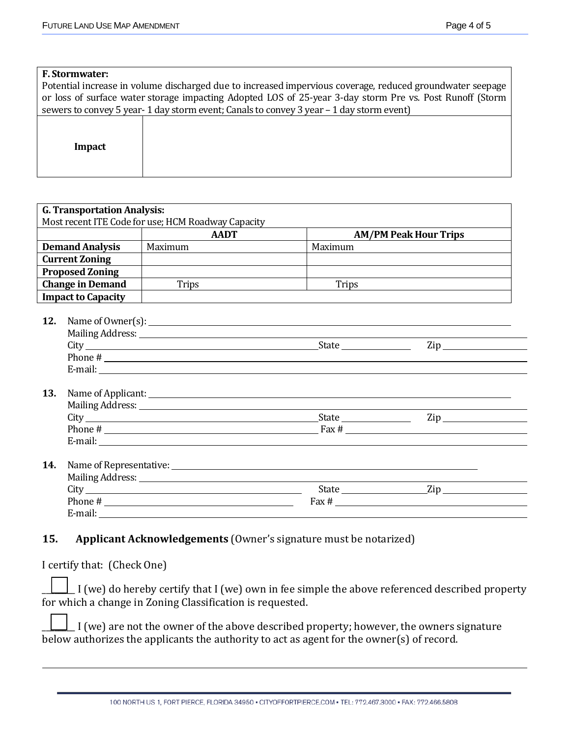| <b>F. Stormwater:</b>                                                                                     |                                                                                                          |  |  |  |  |
|-----------------------------------------------------------------------------------------------------------|----------------------------------------------------------------------------------------------------------|--|--|--|--|
| Potential increase in volume discharged due to increased impervious coverage, reduced groundwater seepage |                                                                                                          |  |  |  |  |
|                                                                                                           | or loss of surface water storage impacting Adopted LOS of 25-year 3-day storm Pre vs. Post Runoff (Storm |  |  |  |  |
| sewers to convey 5 year-1 day storm event; Canals to convey 3 year – 1 day storm event)                   |                                                                                                          |  |  |  |  |
|                                                                                                           |                                                                                                          |  |  |  |  |
|                                                                                                           |                                                                                                          |  |  |  |  |
| Impact                                                                                                    |                                                                                                          |  |  |  |  |
|                                                                                                           |                                                                                                          |  |  |  |  |
|                                                                                                           |                                                                                                          |  |  |  |  |

|                           | <b>AADT</b>                                                                                                                                                                                                                                                                                                                              |         | <b>AM/PM Peak Hour Trips</b> |
|---------------------------|------------------------------------------------------------------------------------------------------------------------------------------------------------------------------------------------------------------------------------------------------------------------------------------------------------------------------------------|---------|------------------------------|
| <b>Demand Analysis</b>    | Maximum                                                                                                                                                                                                                                                                                                                                  | Maximum |                              |
| <b>Current Zoning</b>     |                                                                                                                                                                                                                                                                                                                                          |         |                              |
| <b>Proposed Zoning</b>    |                                                                                                                                                                                                                                                                                                                                          |         |                              |
| <b>Change in Demand</b>   | Trips                                                                                                                                                                                                                                                                                                                                    | Trips   |                              |
| <b>Impact to Capacity</b> |                                                                                                                                                                                                                                                                                                                                          |         |                              |
|                           |                                                                                                                                                                                                                                                                                                                                          |         |                              |
| 12.                       |                                                                                                                                                                                                                                                                                                                                          |         |                              |
|                           |                                                                                                                                                                                                                                                                                                                                          |         |                              |
|                           |                                                                                                                                                                                                                                                                                                                                          |         | $\mathsf{Zip}\_$             |
|                           | Phone #                                                                                                                                                                                                                                                                                                                                  |         |                              |
|                           |                                                                                                                                                                                                                                                                                                                                          |         |                              |
| 13.                       |                                                                                                                                                                                                                                                                                                                                          |         |                              |
|                           |                                                                                                                                                                                                                                                                                                                                          |         |                              |
|                           |                                                                                                                                                                                                                                                                                                                                          |         | Zip 2000                     |
|                           | Phone $\#$ $\qquad \qquad$ $\qquad$ $\qquad$ $\qquad$ $\qquad$ $\qquad$ $\qquad$ $\qquad$ $\qquad$ $\qquad$ $\qquad$ $\qquad$ $\qquad$ $\qquad$ $\qquad$ $\qquad$ $\qquad$ $\qquad$ $\qquad$ $\qquad$ $\qquad$ $\qquad$ $\qquad$ $\qquad$ $\qquad$ $\qquad$ $\qquad$ $\qquad$ $\qquad$ $\qquad$ $\qquad$ $\qquad$ $\qquad$ $\qquad$ $\q$ |         |                              |
|                           |                                                                                                                                                                                                                                                                                                                                          |         |                              |
|                           |                                                                                                                                                                                                                                                                                                                                          |         |                              |
|                           |                                                                                                                                                                                                                                                                                                                                          |         |                              |
|                           |                                                                                                                                                                                                                                                                                                                                          |         |                              |
| 14.                       |                                                                                                                                                                                                                                                                                                                                          |         |                              |
|                           |                                                                                                                                                                                                                                                                                                                                          |         |                              |
|                           | Phone # $\frac{1}{2}$                                                                                                                                                                                                                                                                                                                    |         |                              |

## **15. Applicant Acknowledgements** (Owner's signature must be notarized)

I certify that: (Check One)

 $\perp$  I (we) do hereby certify that I (we) own in fee simple the above referenced described property for which a change in Zoning Classification is requested.

\_\_\_\_\_\_\_\_ I (we) are not the owner of the above described property; however, the owners signature below authorizes the applicants the authority to act as agent for the owner(s) of record.